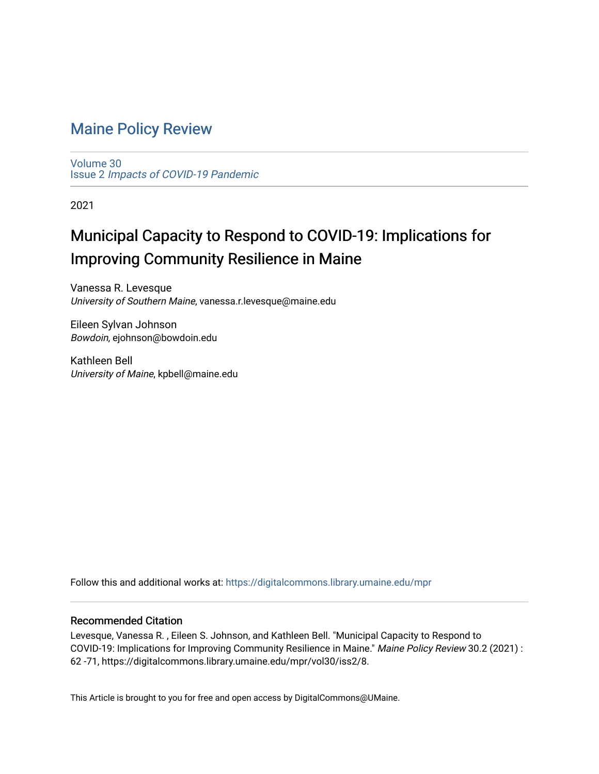# [Maine Policy Review](https://digitalcommons.library.umaine.edu/mpr)

[Volume 30](https://digitalcommons.library.umaine.edu/mpr/vol30) Issue 2 [Impacts of COVID-19 Pandemic](https://digitalcommons.library.umaine.edu/mpr/vol30/iss2)

2021

# Municipal Capacity to Respond to COVID-19: Implications for Improving Community Resilience in Maine

Vanessa R. Levesque University of Southern Maine, vanessa.r.levesque@maine.edu

Eileen Sylvan Johnson Bowdoin, ejohnson@bowdoin.edu

Kathleen Bell University of Maine, kpbell@maine.edu

Follow this and additional works at: [https://digitalcommons.library.umaine.edu/mpr](https://digitalcommons.library.umaine.edu/mpr?utm_source=digitalcommons.library.umaine.edu%2Fmpr%2Fvol30%2Fiss2%2F8&utm_medium=PDF&utm_campaign=PDFCoverPages)

## Recommended Citation

Levesque, Vanessa R. , Eileen S. Johnson, and Kathleen Bell. "Municipal Capacity to Respond to COVID-19: Implications for Improving Community Resilience in Maine." Maine Policy Review 30.2 (2021) : 62 -71, https://digitalcommons.library.umaine.edu/mpr/vol30/iss2/8.

This Article is brought to you for free and open access by DigitalCommons@UMaine.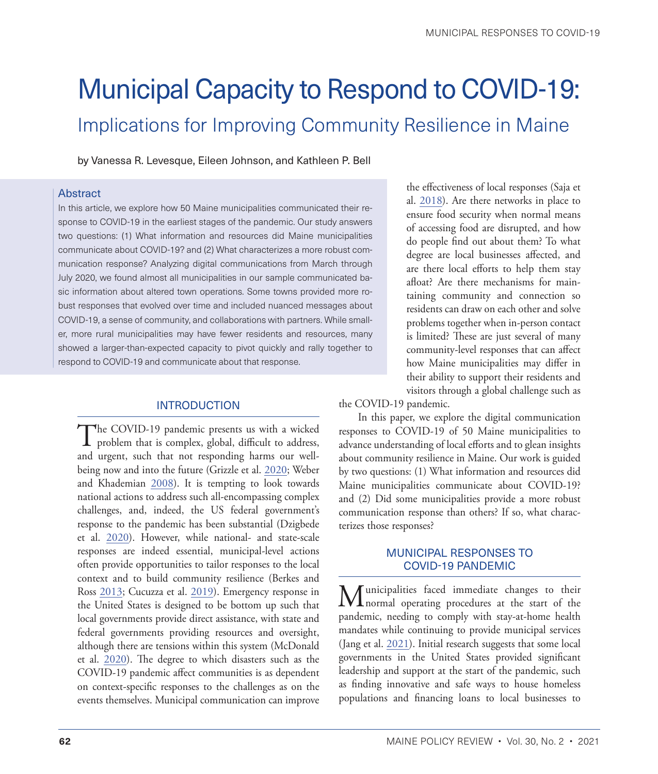# Municipal Capacity to Respond to COVID-19: Implications for Improving Community Resilience in Maine

by Vanessa R. Levesque, Eileen Johnson, and Kathleen P. Bell

#### Abstract

In this article, we explore how 50 Maine municipalities communicated their response to COVID-19 in the earliest stages of the pandemic. Our study answers two questions: (1) What information and resources did Maine municipalities communicate about COVID-19? and (2) What characterizes a more robust communication response? Analyzing digital communications from March through July 2020, we found almost all municipalities in our sample communicated basic information about altered town operations. Some towns provided more robust responses that evolved over time and included nuanced messages about COVID-19, a sense of community, and collaborations with partners. While smaller, more rural municipalities may have fewer residents and resources, many showed a larger-than-expected capacity to pivot quickly and rally together to respond to COVID-19 and communicate about that response.

# INTRODUCTION

The COVID-19 pandemic presents us with a wicked<br>problem that is complex, global, difficult to address, and urgent, such that not responding harms our wellbeing now and into the future (Grizzle et al. [2020;](#page-9-0) Weber and Khademian [2008](#page-10-0)). It is tempting to look towards national actions to address such all-encompassing complex challenges, and, indeed, the US federal government's response to the pandemic has been substantial (Dzigbede et al. [2020\)](#page-9-1). However, while national- and state-scale responses are indeed essential, municipal-level actions often provide opportunities to tailor responses to the local context and to build community resilience (Berkes and Ross [2013;](#page-9-2) Cucuzza et al. [2019](#page-9-3)). Emergency response in the United States is designed to be bottom up such that local governments provide direct assistance, with state and federal governments providing resources and oversight, although there are tensions within this system (McDonald et al. [2020\)](#page-10-1). The degree to which disasters such as the COVID-19 pandemic affect communities is as dependent on context-specific responses to the challenges as on the events themselves. Municipal communication can improve

the effectiveness of local responses (Saja et al. [2018](#page-10-2)). Are there networks in place to ensure food security when normal means of accessing food are disrupted, and how do people find out about them? To what degree are local businesses affected, and are there local efforts to help them stay afloat? Are there mechanisms for maintaining community and connection so residents can draw on each other and solve problems together when in-person contact is limited? These are just several of many community-level responses that can affect how Maine municipalities may differ in their ability to support their residents and visitors through a global challenge such as

the COVID-19 pandemic.

In this paper, we explore the digital communication responses to COVID-19 of 50 Maine municipalities to advance understanding of local efforts and to glean insights about community resilience in Maine. Our work is guided by two questions: (1) What information and resources did Maine municipalities communicate about COVID-19? and (2) Did some municipalities provide a more robust communication response than others? If so, what characterizes those responses?

## MUNICIPAL RESPONSES TO COVID-19 PANDEMIC

Municipalities faced immediate changes to their normal operating procedures at the start of the pandemic, needing to comply with stay-at-home health mandates while continuing to provide municipal services (Jang et al. [2021](#page-9-4)). Initial research suggests that some local governments in the United States provided significant leadership and support at the start of the pandemic, such as finding innovative and safe ways to house homeless populations and financing loans to local businesses to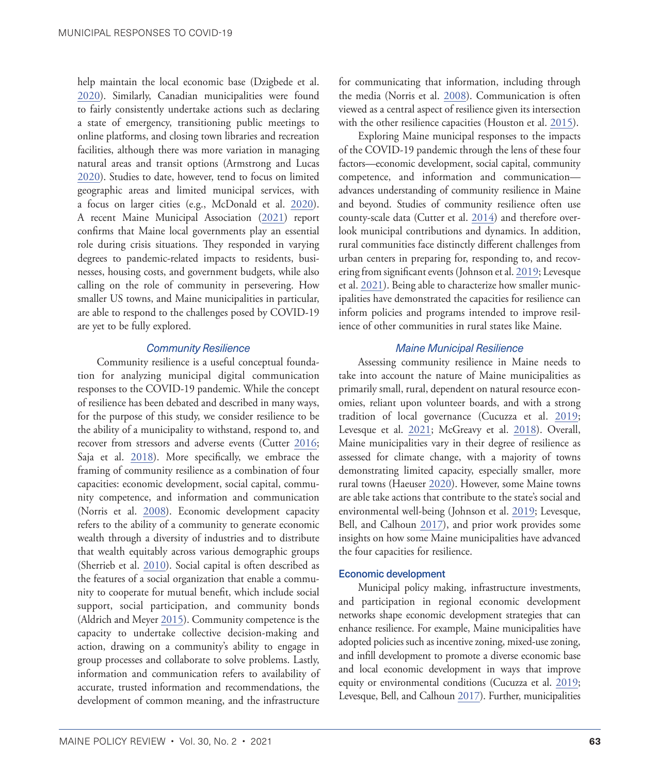help maintain the local economic base (Dzigbede et al. [2020](#page-9-1)). Similarly, Canadian municipalities were found to fairly consistently undertake actions such as declaring a state of emergency, transitioning public meetings to online platforms, and closing town libraries and recreation facilities, although there was more variation in managing natural areas and transit options (Armstrong and Lucas [2020](#page-9-5)). Studies to date, however, tend to focus on limited geographic areas and limited municipal services, with a focus on larger cities (e.g., McDonald et al. [2020](#page-10-1)). A recent Maine Municipal Association [\(2021](#page-10-3)) report confirms that Maine local governments play an essential role during crisis situations. They responded in varying degrees to pandemic-related impacts to residents, businesses, housing costs, and government budgets, while also calling on the role of community in persevering. How smaller US towns, and Maine municipalities in particular, are able to respond to the challenges posed by COVID-19 are yet to be fully explored.

#### *Community Resilience*

Community resilience is a useful conceptual foundation for analyzing municipal digital communication responses to the COVID-19 pandemic. While the concept of resilience has been debated and described in many ways, for the purpose of this study, we consider resilience to be the ability of a municipality to withstand, respond to, and recover from stressors and adverse events (Cutter [2016;](#page-9-6) Saja et al. [2018\)](#page-10-2). More specifically, we embrace the framing of community resilience as a combination of four capacities: economic development, social capital, community competence, and information and communication (Norris et al. [2008](#page-10-4)). Economic development capacity refers to the ability of a community to generate economic wealth through a diversity of industries and to distribute that wealth equitably across various demographic groups (Sherrieb et al. [2010](#page-10-5)). Social capital is often described as the features of a social organization that enable a community to cooperate for mutual benefit, which include social support, social participation, and community bonds (Aldrich and Meyer [2015\)](#page-9-7). Community competence is the capacity to undertake collective decision-making and action, drawing on a community's ability to engage in group processes and collaborate to solve problems. Lastly, information and communication refers to availability of accurate, trusted information and recommendations, the development of common meaning, and the infrastructure

for communicating that information, including through the media (Norris et al. [2008\)](#page-10-4). Communication is often viewed as a central aspect of resilience given its intersection with the other resilience capacities (Houston et al. [2015\)](#page-9-8).

Exploring Maine municipal responses to the impacts of the COVID-19 pandemic through the lens of these four factors—economic development, social capital, community competence, and information and communication advances understanding of community resilience in Maine and beyond. Studies of community resilience often use county-scale data (Cutter et al. [2014\)](#page-9-9) and therefore overlook municipal contributions and dynamics. In addition, rural communities face distinctly different challenges from urban centers in preparing for, responding to, and recovering from significant events (Johnson et al. [2019;](#page-9-10) Levesque et al. [2021](#page-10-6)). Being able to characterize how smaller municipalities have demonstrated the capacities for resilience can inform policies and programs intended to improve resilience of other communities in rural states like Maine.

#### *Maine Municipal Resilience*

Assessing community resilience in Maine needs to take into account the nature of Maine municipalities as primarily small, rural, dependent on natural resource economies, reliant upon volunteer boards, and with a strong tradition of local governance (Cucuzza et al. [2019;](#page-9-3) Levesque et al. [2021;](#page-10-6) McGreavy et al. [2018\)](#page-10-7). Overall, Maine municipalities vary in their degree of resilience as assessed for climate change, with a majority of towns demonstrating limited capacity, especially smaller, more rural towns (Haeuser [2020\)](#page-9-11). However, some Maine towns are able take actions that contribute to the state's social and environmental well-being (Johnson et al. [2019](#page-9-10); Levesque, Bell, and Calhoun [2017\)](#page-9-12), and prior work provides some insights on how some Maine municipalities have advanced the four capacities for resilience.

#### Economic development

Municipal policy making, infrastructure investments, and participation in regional economic development networks shape economic development strategies that can enhance resilience. For example, Maine municipalities have adopted policies such as incentive zoning, mixed-use zoning, and infill development to promote a diverse economic base and local economic development in ways that improve equity or environmental conditions (Cucuzza et al. [2019;](#page-9-3) Levesque, Bell, and Calhoun [2017](#page-9-12)). Further, municipalities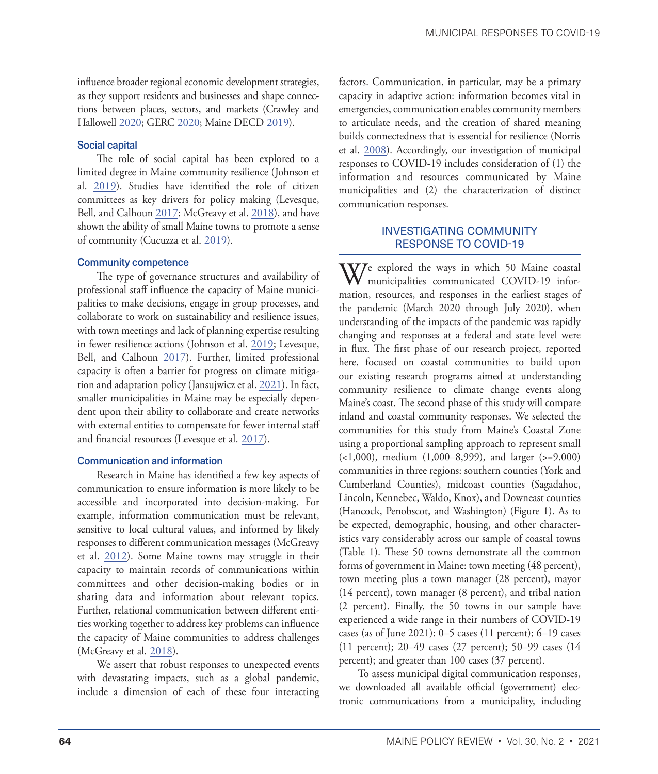influence broader regional economic development strategies, as they support residents and businesses and shape connections between places, sectors, and markets (Crawley and Hallowell [2020](#page-9-13); GERC [2020;](#page-9-14) Maine DECD [2019\)](#page-10-8).

#### Social capital

The role of social capital has been explored to a limited degree in Maine community resilience (Johnson et al. [2019](#page-9-10)). Studies have identified the role of citizen committees as key drivers for policy making (Levesque, Bell, and Calhoun [2017;](#page-10-9) McGreavy et al. [2018\)](#page-10-7), and have shown the ability of small Maine towns to promote a sense of community (Cucuzza et al. [2019](#page-9-3)).

#### Community competence

The type of governance structures and availability of professional staff influence the capacity of Maine municipalities to make decisions, engage in group processes, and collaborate to work on sustainability and resilience issues, with town meetings and lack of planning expertise resulting in fewer resilience actions (Johnson et al. [2019](#page-9-10); Levesque, Bell, and Calhoun [2017\)](#page-9-12). Further, limited professional capacity is often a barrier for progress on climate mitigation and adaptation policy (Jansujwicz et al. [2021](#page-9-15)). In fact, smaller municipalities in Maine may be especially dependent upon their ability to collaborate and create networks with external entities to compensate for fewer internal staff and financial resources (Levesque et al. [2017](#page-10-9)).

#### Communication and information

Research in Maine has identified a few key aspects of communication to ensure information is more likely to be accessible and incorporated into decision-making. For example, information communication must be relevant, sensitive to local cultural values, and informed by likely responses to different communication messages (McGreavy et al. [2012](#page-10-10)). Some Maine towns may struggle in their capacity to maintain records of communications within committees and other decision-making bodies or in sharing data and information about relevant topics. Further, relational communication between different entities working together to address key problems can influence the capacity of Maine communities to address challenges (McGreavy et al. [2018](#page-10-7)).

We assert that robust responses to unexpected events with devastating impacts, such as a global pandemic, include a dimension of each of these four interacting factors. Communication, in particular, may be a primary capacity in adaptive action: information becomes vital in emergencies, communication enables community members to articulate needs, and the creation of shared meaning builds connectedness that is essential for resilience (Norris et al. [2008](#page-10-4)). Accordingly, our investigation of municipal responses to COVID-19 includes consideration of (1) the information and resources communicated by Maine municipalities and (2) the characterization of distinct communication responses.

#### INVESTIGATING COMMUNITY RESPONSE TO COVID-19

We explored the ways in which 50 Maine coastal municipalities communicated COVID-19 information, resources, and responses in the earliest stages of the pandemic (March 2020 through July 2020), when understanding of the impacts of the pandemic was rapidly changing and responses at a federal and state level were in flux. The first phase of our research project, reported here, focused on coastal communities to build upon our existing research programs aimed at understanding community resilience to climate change events along Maine's coast. The second phase of this study will compare inland and coastal community responses. We selected the communities for this study from Maine's Coastal Zone using a proportional sampling approach to represent small (<1,000), medium (1,000–8,999), and larger (>=9,000) communities in three regions: southern counties (York and Cumberland Counties), midcoast counties (Sagadahoc, Lincoln, Kennebec, Waldo, Knox), and Downeast counties (Hancock, Penobscot, and Washington) (Figure 1). As to be expected, demographic, housing, and other characteristics vary considerably across our sample of coastal towns (Table 1). These 50 towns demonstrate all the common forms of government in Maine: town meeting (48 percent), town meeting plus a town manager (28 percent), mayor (14 percent), town manager (8 percent), and tribal nation (2 percent). Finally, the 50 towns in our sample have experienced a wide range in their numbers of COVID-19 cases (as of June 2021): 0–5 cases (11 percent); 6–19 cases (11 percent); 20–49 cases (27 percent); 50–99 cases (14 percent); and greater than 100 cases (37 percent).

To assess municipal digital communication responses, we downloaded all available official (government) electronic communications from a municipality, including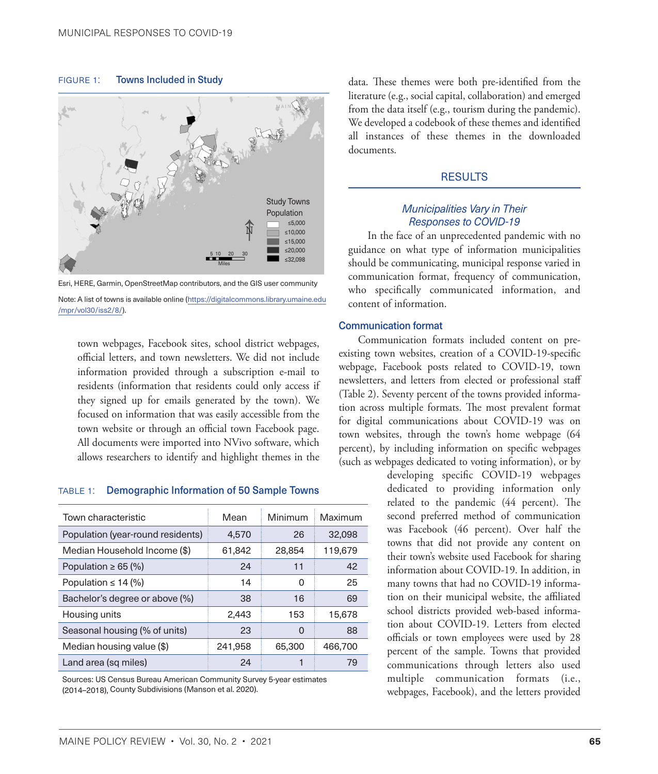FIGURE 1: Towns Included in Study





Note: A list of towns is available online ([https://digitalcommons.library.umaine.edu](https://digitalcommons.library.umaine.edu/mpr/vol30/iss2/8/) [/mpr/vol30/iss2/8](https://digitalcommons.library.umaine.edu/mpr/vol30/iss2/8/)/).

town webpages, Facebook sites, school district webpages, official letters, and town newsletters. We did not include information provided through a subscription e-mail to residents (information that residents could only access if they signed up for emails generated by the town). We focused on information that was easily accessible from the town website or through an official town Facebook page. All documents were imported into NVivo software, which allows researchers to identify and highlight themes in the

#### table 1: Demographic Information of 50 Sample Towns

| Town characteristic               | Mean    | Minimum | Maximum |
|-----------------------------------|---------|---------|---------|
| Population (year-round residents) | 4,570   | 26      | 32,098  |
| Median Household Income (\$)      | 61,842  | 28,854  | 119,679 |
| Population $\geq 65$ (%)          | 24      | 11      | 42      |
| Population $\leq 14$ (%)          | 14      | O       | 25      |
| Bachelor's degree or above (%)    | 38      | 16      | 69      |
| Housing units                     | 2,443   | 153     | 15,678  |
| Seasonal housing (% of units)     | 23      | 0       | 88      |
| Median housing value (\$)         | 241,958 | 65,300  | 466,700 |
| Land area (sq miles)              | 24      |         | 79      |

Sources: US Census Bureau American Community Survey 5-year estimates (2014–2018), County Subdivisions (Manson et al. 2020).

data. These themes were both pre-identified from the literature (e.g., social capital, collaboration) and emerged from the data itself (e.g., tourism during the pandemic). We developed a codebook of these themes and identified all instances of these themes in the downloaded documents.

#### RESULTS

#### *Municipalities Vary in Their Responses to COVID-19*

In the face of an unprecedented pandemic with no guidance on what type of information municipalities should be communicating, municipal response varied in communication format, frequency of communication, who specifically communicated information, and content of information.

#### Communication format

Communication formats included content on preexisting town websites, creation of a COVID-19-specific webpage, Facebook posts related to COVID-19, town newsletters, and letters from elected or professional staff (Table 2). Seventy percent of the towns provided information across multiple formats. The most prevalent format for digital communications about COVID-19 was on town websites, through the town's home webpage (64 percent), by including information on specific webpages (such as webpages dedicated to voting information), or by

> developing specific COVID-19 webpages dedicated to providing information only related to the pandemic (44 percent). The second preferred method of communication was Facebook (46 percent). Over half the towns that did not provide any content on their town's website used Facebook for sharing information about COVID-19. In addition, in many towns that had no COVID-19 information on their municipal website, the affiliated school districts provided web-based information about COVID-19. Letters from elected officials or town employees were used by 28 percent of the sample. Towns that provided communications through letters also used multiple communication formats (i.e., webpages, Facebook), and the letters provided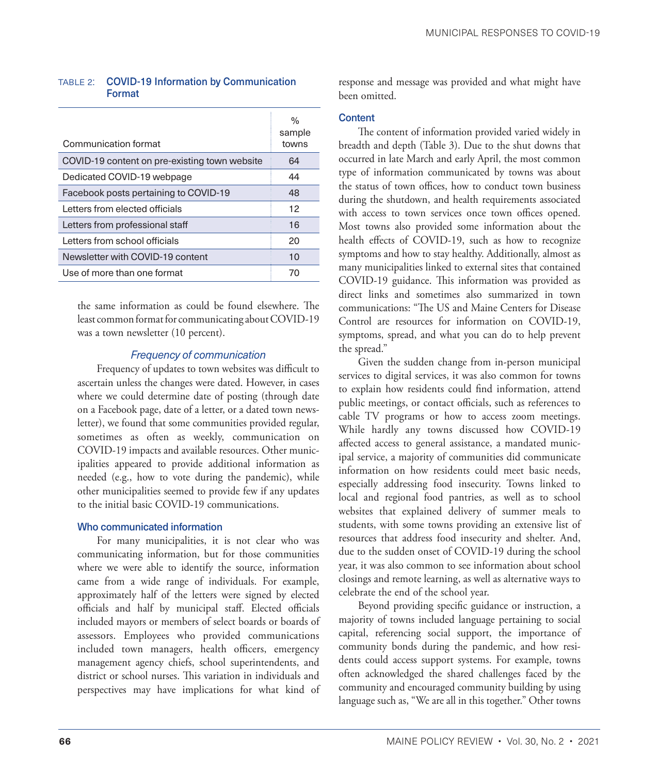#### table 2: COVID-19 Information by Communication Format

| Communication format                          | $\%$<br>sample<br>towns |
|-----------------------------------------------|-------------------------|
| COVID-19 content on pre-existing town website | 64                      |
| Dedicated COVID-19 webpage                    | 44                      |
| Facebook posts pertaining to COVID-19         | 48                      |
| Letters from elected officials                | 12                      |
| Letters from professional staff               | 16                      |
| Letters from school officials                 | 20                      |
| Newsletter with COVID-19 content              | 10                      |
| Use of more than one format                   | 70                      |

the same information as could be found elsewhere. The least common format for communicating about COVID-19 was a town newsletter (10 percent).

#### *Frequency of communication*

Frequency of updates to town websites was difficult to ascertain unless the changes were dated. However, in cases where we could determine date of posting (through date on a Facebook page, date of a letter, or a dated town newsletter), we found that some communities provided regular, sometimes as often as weekly, communication on COVID-19 impacts and available resources. Other municipalities appeared to provide additional information as needed (e.g., how to vote during the pandemic), while other municipalities seemed to provide few if any updates to the initial basic COVID-19 communications.

#### Who communicated information

For many municipalities, it is not clear who was communicating information, but for those communities where we were able to identify the source, information came from a wide range of individuals. For example, approximately half of the letters were signed by elected officials and half by municipal staff. Elected officials included mayors or members of select boards or boards of assessors. Employees who provided communications included town managers, health officers, emergency management agency chiefs, school superintendents, and district or school nurses. This variation in individuals and perspectives may have implications for what kind of response and message was provided and what might have been omitted.

## **Content**

The content of information provided varied widely in breadth and depth (Table 3). Due to the shut downs that occurred in late March and early April, the most common type of information communicated by towns was about the status of town offices, how to conduct town business during the shutdown, and health requirements associated with access to town services once town offices opened. Most towns also provided some information about the health effects of COVID-19, such as how to recognize symptoms and how to stay healthy. Additionally, almost as many municipalities linked to external sites that contained COVID-19 guidance. This information was provided as direct links and sometimes also summarized in town communications: "The US and Maine Centers for Disease Control are resources for information on COVID-19, symptoms, spread, and what you can do to help prevent the spread."

Given the sudden change from in-person municipal services to digital services, it was also common for towns to explain how residents could find information, attend public meetings, or contact officials, such as references to cable TV programs or how to access zoom meetings. While hardly any towns discussed how COVID-19 affected access to general assistance, a mandated municipal service, a majority of communities did communicate information on how residents could meet basic needs, especially addressing food insecurity. Towns linked to local and regional food pantries, as well as to school websites that explained delivery of summer meals to students, with some towns providing an extensive list of resources that address food insecurity and shelter. And, due to the sudden onset of COVID-19 during the school year, it was also common to see information about school closings and remote learning, as well as alternative ways to celebrate the end of the school year.

Beyond providing specific guidance or instruction, a majority of towns included language pertaining to social capital, referencing social support, the importance of community bonds during the pandemic, and how residents could access support systems. For example, towns often acknowledged the shared challenges faced by the community and encouraged community building by using language such as, "We are all in this together." Other towns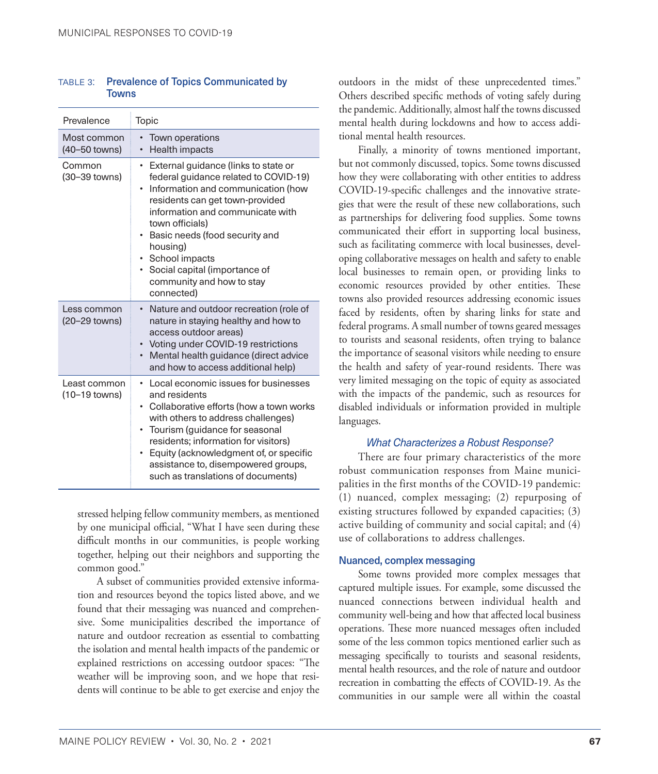| TABLE 3: Prevalence of Topics Communicated by |
|-----------------------------------------------|
| <b>Towns</b>                                  |

| Prevalence                    | Topic                                                                                                                                                                                                                                                                                                                                                                         |
|-------------------------------|-------------------------------------------------------------------------------------------------------------------------------------------------------------------------------------------------------------------------------------------------------------------------------------------------------------------------------------------------------------------------------|
| Most common<br>(40–50 towns)  | Town operations<br>$\bullet$<br>Health impacts<br>$\bullet$                                                                                                                                                                                                                                                                                                                   |
| Common<br>(30–39 towns)       | External guidance (links to state or<br>٠<br>federal guidance related to COVID-19)<br>Information and communication (how<br>residents can get town-provided<br>information and communicate with<br>town officials)<br>Basic needs (food security and<br>$\bullet$<br>housing)<br>School impacts<br>• Social capital (importance of<br>community and how to stay<br>connected) |
| Less common<br>(20–29 towns)  | Nature and outdoor recreation (role of<br>nature in staying healthy and how to<br>access outdoor areas)<br>Voting under COVID-19 restrictions<br>Mental health guidance (direct advice<br>$\bullet$<br>and how to access additional help)                                                                                                                                     |
| Least common<br>(10–19 towns) | Local economic issues for businesses<br>٠<br>and residents<br>Collaborative efforts (how a town works<br>٠<br>with others to address challenges)<br>Tourism (guidance for seasonal<br>residents; information for visitors)<br>Equity (acknowledgment of, or specific<br>assistance to, disempowered groups,<br>such as translations of documents)                             |

stressed helping fellow community members, as mentioned by one municipal official, "What I have seen during these difficult months in our communities, is people working together, helping out their neighbors and supporting the common good."

A subset of communities provided extensive information and resources beyond the topics listed above, and we found that their messaging was nuanced and comprehensive. Some municipalities described the importance of nature and outdoor recreation as essential to combatting the isolation and mental health impacts of the pandemic or explained restrictions on accessing outdoor spaces: "The weather will be improving soon, and we hope that residents will continue to be able to get exercise and enjoy the outdoors in the midst of these unprecedented times." Others described specific methods of voting safely during the pandemic. Additionally, almost half the towns discussed mental health during lockdowns and how to access additional mental health resources.

Finally, a minority of towns mentioned important, but not commonly discussed, topics. Some towns discussed how they were collaborating with other entities to address COVID-19-specific challenges and the innovative strategies that were the result of these new collaborations, such as partnerships for delivering food supplies. Some towns communicated their effort in supporting local business, such as facilitating commerce with local businesses, developing collaborative messages on health and safety to enable local businesses to remain open, or providing links to economic resources provided by other entities. These towns also provided resources addressing economic issues faced by residents, often by sharing links for state and federal programs. A small number of towns geared messages to tourists and seasonal residents, often trying to balance the importance of seasonal visitors while needing to ensure the health and safety of year-round residents. There was very limited messaging on the topic of equity as associated with the impacts of the pandemic, such as resources for disabled individuals or information provided in multiple languages.

#### *What Characterizes a Robust Response?*

There are four primary characteristics of the more robust communication responses from Maine municipalities in the first months of the COVID-19 pandemic: (1) nuanced, complex messaging; (2) repurposing of existing structures followed by expanded capacities; (3) active building of community and social capital; and (4) use of collaborations to address challenges.

#### Nuanced, complex messaging

Some towns provided more complex messages that captured multiple issues. For example, some discussed the nuanced connections between individual health and community well-being and how that affected local business operations. These more nuanced messages often included some of the less common topics mentioned earlier such as messaging specifically to tourists and seasonal residents, mental health resources, and the role of nature and outdoor recreation in combatting the effects of COVID-19. As the communities in our sample were all within the coastal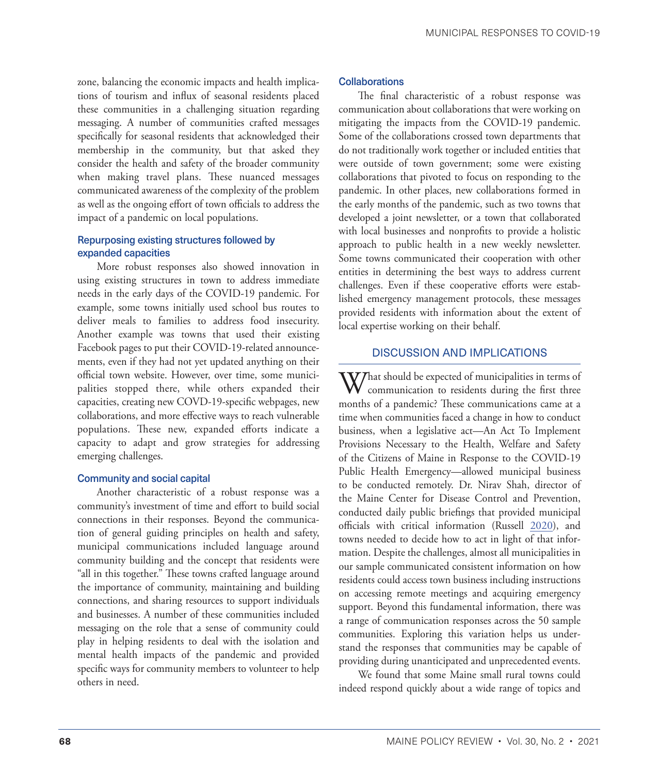zone, balancing the economic impacts and health implications of tourism and influx of seasonal residents placed these communities in a challenging situation regarding messaging. A number of communities crafted messages specifically for seasonal residents that acknowledged their membership in the community, but that asked they consider the health and safety of the broader community when making travel plans. These nuanced messages communicated awareness of the complexity of the problem as well as the ongoing effort of town officials to address the impact of a pandemic on local populations.

#### Repurposing existing structures followed by expanded capacities

More robust responses also showed innovation in using existing structures in town to address immediate needs in the early days of the COVID-19 pandemic. For example, some towns initially used school bus routes to deliver meals to families to address food insecurity. Another example was towns that used their existing Facebook pages to put their COVID-19-related announcements, even if they had not yet updated anything on their official town website. However, over time, some municipalities stopped there, while others expanded their capacities, creating new COVD-19-specific webpages, new collaborations, and more effective ways to reach vulnerable populations. These new, expanded efforts indicate a capacity to adapt and grow strategies for addressing emerging challenges.

#### Community and social capital

Another characteristic of a robust response was a community's investment of time and effort to build social connections in their responses. Beyond the communication of general guiding principles on health and safety, municipal communications included language around community building and the concept that residents were "all in this together." These towns crafted language around the importance of community, maintaining and building connections, and sharing resources to support individuals and businesses. A number of these communities included messaging on the role that a sense of community could play in helping residents to deal with the isolation and mental health impacts of the pandemic and provided specific ways for community members to volunteer to help others in need.

#### **Collaborations**

The final characteristic of a robust response was communication about collaborations that were working on mitigating the impacts from the COVID-19 pandemic. Some of the collaborations crossed town departments that do not traditionally work together or included entities that were outside of town government; some were existing collaborations that pivoted to focus on responding to the pandemic. In other places, new collaborations formed in the early months of the pandemic, such as two towns that developed a joint newsletter, or a town that collaborated with local businesses and nonprofits to provide a holistic approach to public health in a new weekly newsletter. Some towns communicated their cooperation with other entities in determining the best ways to address current challenges. Even if these cooperative efforts were established emergency management protocols, these messages provided residents with information about the extent of local expertise working on their behalf.

#### DISCUSSION AND IMPLICATIONS

What should be expected of municipalities in terms of<br>communication to residents during the first three months of a pandemic? These communications came at a time when communities faced a change in how to conduct business, when a legislative act—An Act To Implement Provisions Necessary to the Health, Welfare and Safety of the Citizens of Maine in Response to the COVID-19 Public Health Emergency—allowed municipal business to be conducted remotely. Dr. Nirav Shah, director of the Maine Center for Disease Control and Prevention, conducted daily public briefings that provided municipal officials with critical information (Russell [2020](#page-10-11)), and towns needed to decide how to act in light of that information. Despite the challenges, almost all municipalities in our sample communicated consistent information on how residents could access town business including instructions on accessing remote meetings and acquiring emergency support. Beyond this fundamental information, there was a range of communication responses across the 50 sample communities. Exploring this variation helps us understand the responses that communities may be capable of providing during unanticipated and unprecedented events.

We found that some Maine small rural towns could indeed respond quickly about a wide range of topics and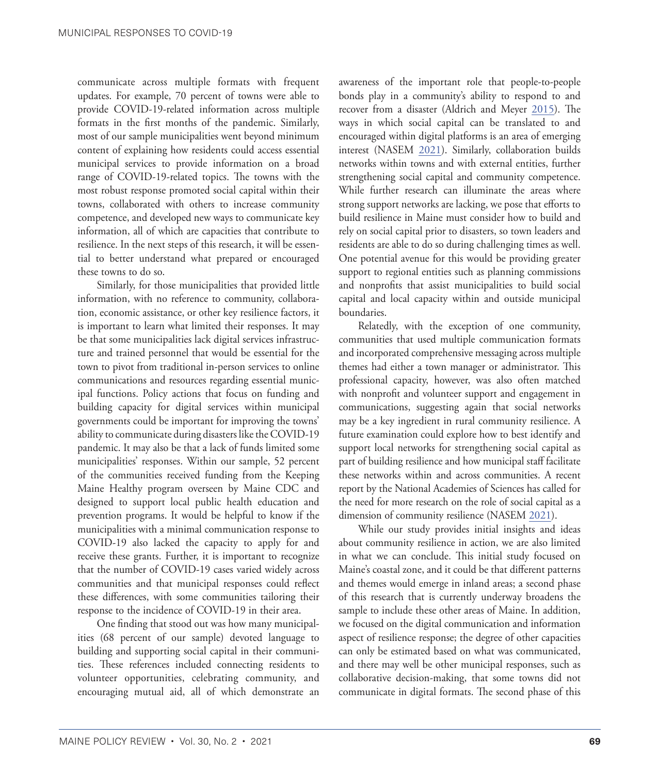communicate across multiple formats with frequent updates. For example, 70 percent of towns were able to provide COVID-19-related information across multiple formats in the first months of the pandemic. Similarly, most of our sample municipalities went beyond minimum content of explaining how residents could access essential municipal services to provide information on a broad range of COVID-19-related topics. The towns with the most robust response promoted social capital within their towns, collaborated with others to increase community competence, and developed new ways to communicate key information, all of which are capacities that contribute to resilience. In the next steps of this research, it will be essential to better understand what prepared or encouraged these towns to do so.

Similarly, for those municipalities that provided little information, with no reference to community, collaboration, economic assistance, or other key resilience factors, it is important to learn what limited their responses. It may be that some municipalities lack digital services infrastructure and trained personnel that would be essential for the town to pivot from traditional in-person services to online communications and resources regarding essential municipal functions. Policy actions that focus on funding and building capacity for digital services within municipal governments could be important for improving the towns' ability to communicate during disasters like the COVID-19 pandemic. It may also be that a lack of funds limited some municipalities' responses. Within our sample, 52 percent of the communities received funding from the Keeping Maine Healthy program overseen by Maine CDC and designed to support local public health education and prevention programs. It would be helpful to know if the municipalities with a minimal communication response to COVID-19 also lacked the capacity to apply for and receive these grants. Further, it is important to recognize that the number of COVID-19 cases varied widely across communities and that municipal responses could reflect these differences, with some communities tailoring their response to the incidence of COVID-19 in their area.

One finding that stood out was how many municipalities (68 percent of our sample) devoted language to building and supporting social capital in their communities. These references included connecting residents to volunteer opportunities, celebrating community, and encouraging mutual aid, all of which demonstrate an awareness of the important role that people-to-people bonds play in a community's ability to respond to and recover from a disaster (Aldrich and Meyer [2015](#page-9-7)). The ways in which social capital can be translated to and encouraged within digital platforms is an area of emerging interest (NASEM [2021](#page-10-12)). Similarly, collaboration builds networks within towns and with external entities, further strengthening social capital and community competence. While further research can illuminate the areas where strong support networks are lacking, we pose that efforts to build resilience in Maine must consider how to build and rely on social capital prior to disasters, so town leaders and residents are able to do so during challenging times as well. One potential avenue for this would be providing greater support to regional entities such as planning commissions and nonprofits that assist municipalities to build social capital and local capacity within and outside municipal boundaries.

Relatedly, with the exception of one community, communities that used multiple communication formats and incorporated comprehensive messaging across multiple themes had either a town manager or administrator. This professional capacity, however, was also often matched with nonprofit and volunteer support and engagement in communications, suggesting again that social networks may be a key ingredient in rural community resilience. A future examination could explore how to best identify and support local networks for strengthening social capital as part of building resilience and how municipal staff facilitate these networks within and across communities. A recent report by the National Academies of Sciences has called for the need for more research on the role of social capital as a dimension of community resilience (NASEM [2021\)](#page-10-12).

While our study provides initial insights and ideas about community resilience in action, we are also limited in what we can conclude. This initial study focused on Maine's coastal zone, and it could be that different patterns and themes would emerge in inland areas; a second phase of this research that is currently underway broadens the sample to include these other areas of Maine. In addition, we focused on the digital communication and information aspect of resilience response; the degree of other capacities can only be estimated based on what was communicated, and there may well be other municipal responses, such as collaborative decision-making, that some towns did not communicate in digital formats. The second phase of this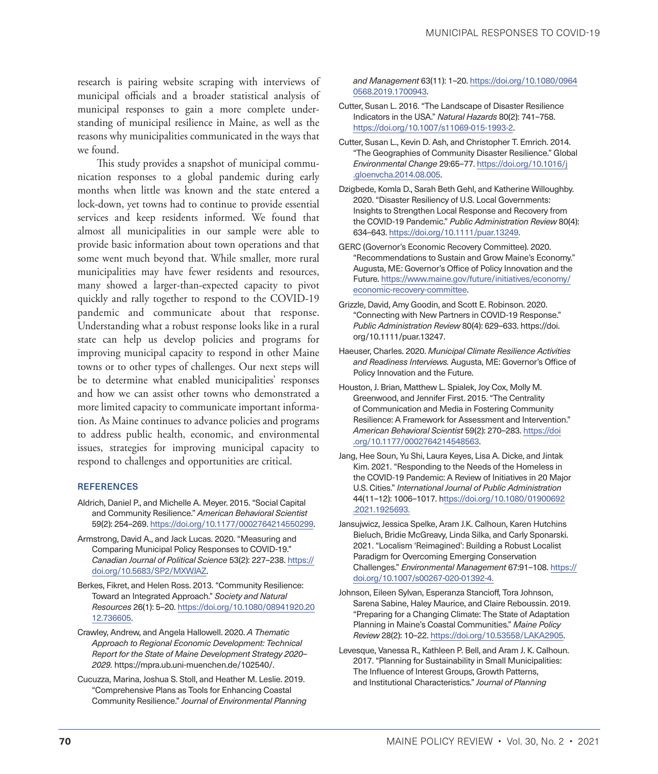research is pairing website scraping with interviews of municipal officials and a broader statistical analysis of municipal responses to gain a more complete understanding of municipal resilience in Maine, as well as the reasons why municipalities communicated in the ways that we found.

This study provides a snapshot of municipal communication responses to a global pandemic during early months when little was known and the state entered a lock-down, yet towns had to continue to provide essential services and keep residents informed. We found that almost all municipalities in our sample were able to provide basic information about town operations and that some went much beyond that. While smaller, more rural municipalities may have fewer residents and resources, many showed a larger-than-expected capacity to pivot quickly and rally together to respond to the COVID-19 pandemic and communicate about that response. Understanding what a robust response looks like in a rural state can help us develop policies and programs for improving municipal capacity to respond in other Maine towns or to other types of challenges. Our next steps will be to determine what enabled municipalities' responses and how we can assist other towns who demonstrated a more limited capacity to communicate important information. As Maine continues to advance policies and programs to address public health, economic, and environmental issues, strategies for improving municipal capacity to respond to challenges and opportunities are critical.

#### **REFERENCES**

- <span id="page-9-7"></span>Aldrich, Daniel P., and Michelle A. Meyer. 2015. "Social Capital and Community Resilience." *American Behavioral Scientist* 59(2): 254–269. [https://doi.org/10.1177/0002764214550299.](https://doi.org/10.1177/0002764214550299)
- <span id="page-9-5"></span>Armstrong, David A., and Jack Lucas. 2020. "Measuring and Comparing Municipal Policy Responses to COVID-19." *Canadian Journal of Political Science* 53(2): 227–238. [https://](https://doi.org/10.5683/SP2/MXWJAZ) [doi.org/10.5683/SP2/MXWJAZ](https://doi.org/10.5683/SP2/MXWJAZ).
- <span id="page-9-2"></span>Berkes, Fikret, and Helen Ross. 2013. "Community Resilience: Toward an Integrated Approach." *Society and Natural Resources* 26(1): 5–20. [https://doi.org/10.1080/08941920.20](https://doi.org/10.1080/08941920.2012.736605) [12.736605.](https://doi.org/10.1080/08941920.2012.736605)
- <span id="page-9-13"></span>Crawley, Andrew, and Angela Hallowell. 2020. *A Thematic Approach to Regional Economic Development: Technical Report for the State of Maine Development Strategy 2020– 2029.* [https://mpra.ub.uni-muenchen.de/102540/.](https://mpra.ub.uni-muenchen.de/102540/)
- <span id="page-9-3"></span>Cucuzza, Marina, Joshua S. Stoll, and Heather M. Leslie. 2019. "Comprehensive Plans as Tools for Enhancing Coastal Community Resilience." *Journal of Environmental Planning*

*and Management* 63(11): 1–20. [https://doi.org/10.1080/0964](https://doi.org/10.1080/09640568.2019.1700943) [0568.2019.1700943.](https://doi.org/10.1080/09640568.2019.1700943)

- <span id="page-9-6"></span>Cutter, Susan L. 2016. "The Landscape of Disaster Resilience Indicators in the USA." *Natural Hazards* 80(2): 741–758. <https://doi.org/10.1007/s11069-015-1993-2>.
- <span id="page-9-9"></span>Cutter, Susan L., Kevin D. Ash, and Christopher T. Emrich. 2014. "The Geographies of Community Disaster Resilience." Global *Environmental Change* 29:65–77. [https://doi.org/10.1016/j](https://doi.org/10.1016/j.gloenvcha.2014.08.005) [.gloenvcha.2014.08.005.](https://doi.org/10.1016/j.gloenvcha.2014.08.005)
- <span id="page-9-1"></span>Dzigbede, Komla D., Sarah Beth Gehl, and Katherine Willoughby. 2020. "Disaster Resiliency of U.S. Local Governments: Insights to Strengthen Local Response and Recovery from the COVID-19 Pandemic." *Public Administration Review* 80(4): 634–643. <https://doi.org/10.1111/puar.13249>.
- <span id="page-9-14"></span>GERC (Governor's Economic Recovery Committee). 2020. "Recommendations to Sustain and Grow Maine's Economy." Augusta, ME: Governor's Office of Policy Innovation and the Future. [https://www.maine.gov/future/initiatives/economy/](https://www.maine.gov/future/initiatives/economy/economic-recovery-committee) [economic-recovery-committee](https://www.maine.gov/future/initiatives/economy/economic-recovery-committee).
- <span id="page-9-0"></span>Grizzle, David, Amy Goodin, and Scott E. Robinson. 2020. "Connecting with New Partners in COVID-19 Response." *Public Administration Review* 80(4): 629–633. [https://doi.](https://doi.org/10.1111/puar.13247) [org/10.1111/puar.13247](https://doi.org/10.1111/puar.13247).
- <span id="page-9-11"></span>Haeuser, Charles. 2020. *Municipal Climate Resilience Activities and Readiness Interviews.* Augusta, ME: Governor's Office of Policy Innovation and the Future.
- <span id="page-9-8"></span>Houston, J. Brian, Matthew L. Spialek, Joy Cox, Molly M. Greenwood, and Jennifer First. 2015. "The Centrality of Communication and Media in Fostering Community Resilience: A Framework for Assessment and Intervention." *American Behavioral Scientist* 59(2): 270–283. [https://doi](https://doi.org/10.1177/0002764214548563) [.org/10.1177/0002764214548563.](https://doi.org/10.1177/0002764214548563)
- <span id="page-9-4"></span>Jang, Hee Soun, Yu Shi, Laura Keyes, Lisa A. Dicke, and Jintak Kim. 2021. "Responding to the Needs of the Homeless in the COVID-19 Pandemic: A Review of Initiatives in 20 Major U.S. Cities." *International Journal of Public Administration* 44(11–12): 1006–1017. [https://doi.org/10.1080/01900692](https://doi.org/10.1080/01900692.2021.1925693) [.2021.1925693](https://doi.org/10.1080/01900692.2021.1925693).
- <span id="page-9-15"></span>Jansujwicz, Jessica Spelke, Aram J.K. Calhoun, Karen Hutchins Bieluch, Bridie McGreavy, Linda Silka, and Carly Sponarski. 2021. "Localism 'Reimagined': Building a Robust Localist Paradigm for Overcoming Emerging Conservation Challenges." *Environmental Management* 67:91–108. [https://](https://doi.org/10.1007/s00267-020-01392-4) [doi.org/10.1007/s00267-020-01392-4](https://doi.org/10.1007/s00267-020-01392-4).
- <span id="page-9-10"></span>Johnson, Eileen Sylvan, Esperanza Stancioff, Tora Johnson, Sarena Sabine, Haley Maurice, and Claire Reboussin. 2019. "Preparing for a Changing Climate: The State of Adaptation Planning in Maine's Coastal Communities." *Maine Policy Review* 28(2): 10–22.<https://doi.org/10.53558/LAKA2905>.
- <span id="page-9-12"></span>Levesque, Vanessa R., Kathleen P. Bell, and Aram J. K. Calhoun. 2017. "Planning for Sustainability in Small Municipalities: The Influence of Interest Groups, Growth Patterns, and Institutional Characteristics." *Journal of Planning*